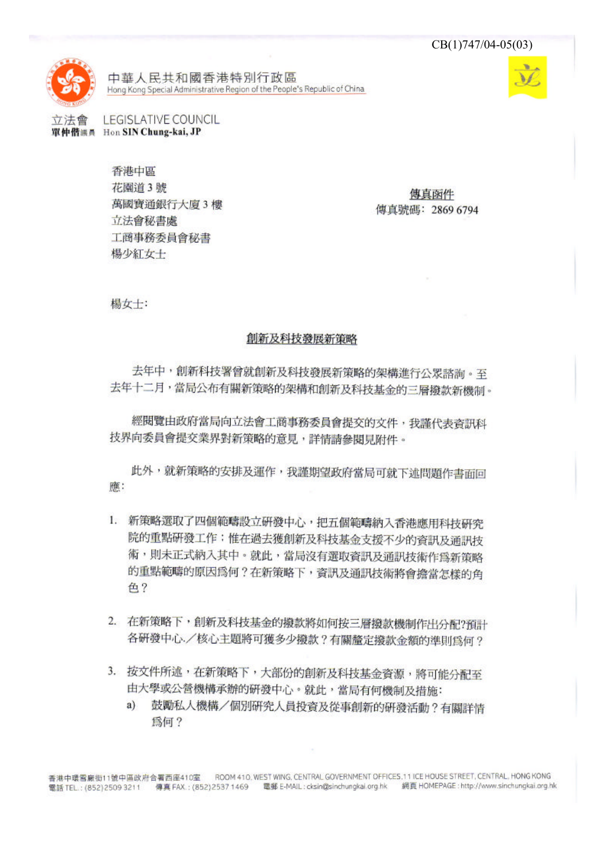$CB(1)747/04-05(03)$ 



中華人民共和國香港特別行政區 Hong Kong Special Administrative Region of the People's Republic of China

**LEGISLATIVE COUNCIL** 立法會 單仲偕無員 Hon SIN Chung-kai, JP

> 香港中區 花園道3號 萬國寶通銀行大廈3樓 立法會秘書處 工商事務委員會秘書 楊少紅女十

傳真函件 傳真號碼: 2869 6794

楊女士:

#### 創新及科技發展新策略

去年中,創新科技署曾就創新及科技發展新策略的架構進行公眾諮詢。至 去年十二月,當局公布有關新策略的架構和創新及科技基金的三層撥款新機制。

經閱覽由政府當局向立法會工商事務委員會提交的文件,我謹代表資訊科 技界向委員會提交業界對新策略的意見,詳情請參閱見附件。

此外,就新策略的安排及運作,我謹期望政府當局可就下述問題作書面回 雁:

- 1. 新策略選取了四個範疇設立研發中心,把五個範疇納入香港應用科技研究 院的重點研發工作;惟在過去獲創新及科技基金支援不少的資訊及通訊技 術,則未正式納入其中。就此,當局沒有選取資訊及通訊技術作為新策略 的重點範疇的原因為何?在新策略下,資訊及通訊技術將會擔當怎樣的角 色?
- 2. 在新策略下,創新及科技基金的撥款將如何按三層撥款機制作出分配?預計 各研發中心./核心主題將可獲多少撥款?有關釐定撥款金額的準則為何?
- 3. 按文件所述,在新策略下,大部份的創新及科技基金資源,將可能分配至 由大學或公營機構承辦的研發中心。就此,當局有何機制及措施:
	- a) 鼓勵私人機構/個別研究人員投資及從事創新的研發活動?有關詳情 為何?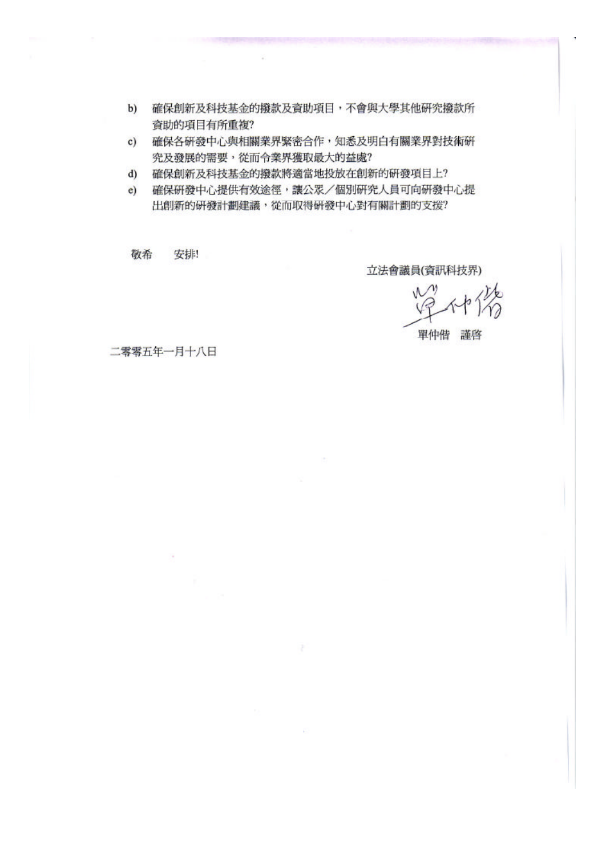- $b)$ 確保創新及科技基金的撥款及資助項目,不會與大學其他研究撥款所 資助的項目有所重複?
- c) 確保各研發中心與相關業界緊密合作,知悉及明白有關業界對技術研 究及發展的需要,從而令業界獲取最大的益處?
- 確保創新及科技基金的撥款將適當地投放在創新的研發項目上?  $d)$
- 確保研發中心提供有效途徑,讓公眾/個別研究人員可向研發中心提  $\epsilon$ ) 出創新的研發計劃建議,從而取得研發中心對有關計劃的支援?

安排! 敬希

立法會議員(資訊科技界)

單仲偕 謹啓

二零零五年一月十八日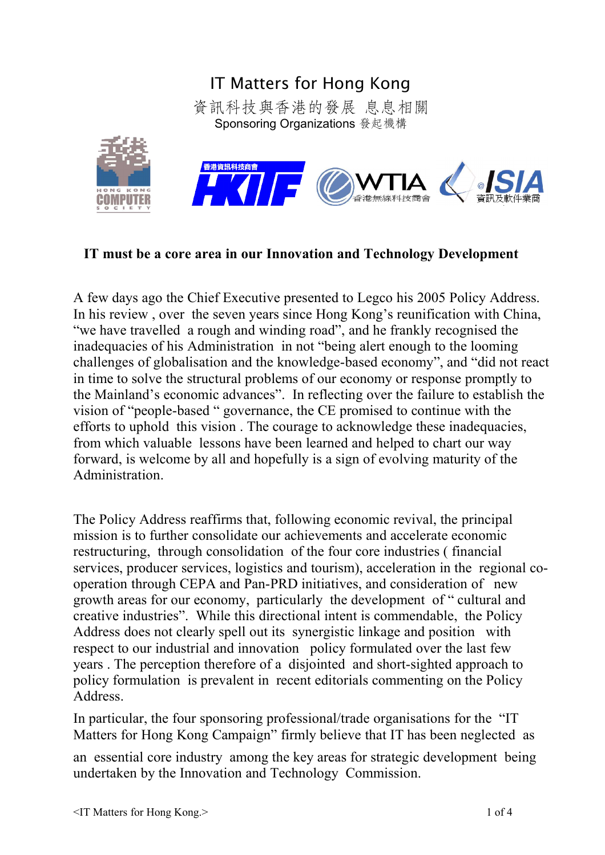# IT Matters for Hong Kong

資訊科技與香港的發展 息息相關 Sponsoring Organizations 發起機構



#### **IT must be a core area in our Innovation and Technology Development**

A few days ago the Chief Executive presented to Legco his 2005 Policy Address. In his review , over the seven years since Hong Kong's reunification with China, "we have travelled a rough and winding road", and he frankly recognised the inadequacies of his Administration in not "being alert enough to the looming challenges of globalisation and the knowledge-based economy", and "did not react in time to solve the structural problems of our economy or response promptly to the Mainland's economic advances". In reflecting over the failure to establish the vision of "people-based " governance, the CE promised to continue with the efforts to uphold this vision . The courage to acknowledge these inadequacies, from which valuable lessons have been learned and helped to chart our way forward, is welcome by all and hopefully is a sign of evolving maturity of the Administration.

The Policy Address reaffirms that, following economic revival, the principal mission is to further consolidate our achievements and accelerate economic restructuring, through consolidation of the four core industries ( financial services, producer services, logistics and tourism), acceleration in the regional cooperation through CEPA and Pan-PRD initiatives, and consideration of new growth areas for our economy, particularly the development of " cultural and creative industries". While this directional intent is commendable, the Policy Address does not clearly spell out its synergistic linkage and position with respect to our industrial and innovation policy formulated over the last few years . The perception therefore of a disjointed and short-sighted approach to policy formulation is prevalent in recent editorials commenting on the Policy Address.

In particular, the four sponsoring professional/trade organisations for the "IT Matters for Hong Kong Campaign" firmly believe that IT has been neglected as

an essential core industry among the key areas for strategic development being undertaken by the Innovation and Technology Commission.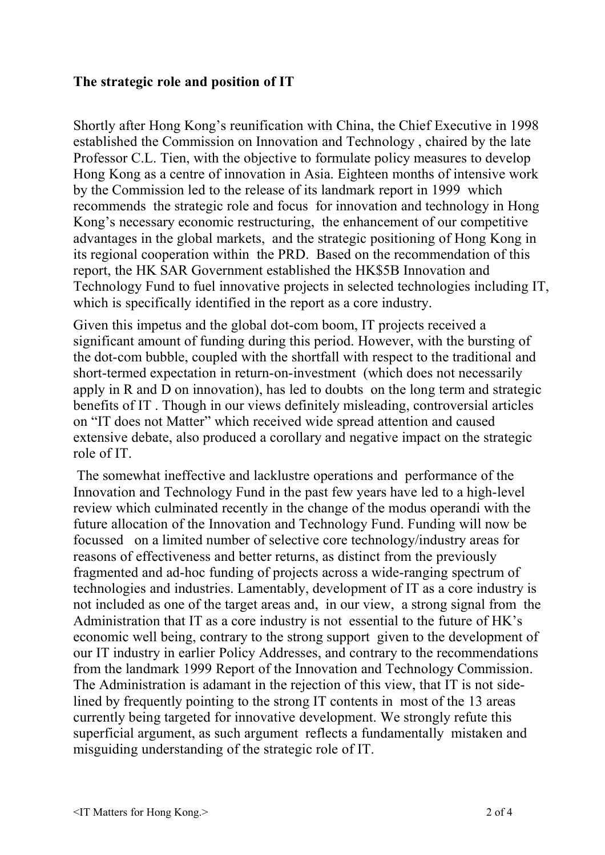#### **The strategic role and position of IT**

Shortly after Hong Kong's reunification with China, the Chief Executive in 1998 established the Commission on Innovation and Technology , chaired by the late Professor C.L. Tien, with the objective to formulate policy measures to develop Hong Kong as a centre of innovation in Asia. Eighteen months of intensive work by the Commission led to the release of its landmark report in 1999 which recommends the strategic role and focus for innovation and technology in Hong Kong's necessary economic restructuring, the enhancement of our competitive advantages in the global markets, and the strategic positioning of Hong Kong in its regional cooperation within the PRD. Based on the recommendation of this report, the HK SAR Government established the HK\$5B Innovation and Technology Fund to fuel innovative projects in selected technologies including IT, which is specifically identified in the report as a core industry.

Given this impetus and the global dot-com boom, IT projects received a significant amount of funding during this period. However, with the bursting of the dot-com bubble, coupled with the shortfall with respect to the traditional and short-termed expectation in return-on-investment (which does not necessarily apply in R and D on innovation), has led to doubts on the long term and strategic benefits of IT . Though in our views definitely misleading, controversial articles on "IT does not Matter" which received wide spread attention and caused extensive debate, also produced a corollary and negative impact on the strategic role of IT.

The somewhat ineffective and lacklustre operations and performance of the Innovation and Technology Fund in the past few years have led to a high-level review which culminated recently in the change of the modus operandi with the future allocation of the Innovation and Technology Fund. Funding will now be focussed on a limited number of selective core technology/industry areas for reasons of effectiveness and better returns, as distinct from the previously fragmented and ad-hoc funding of projects across a wide-ranging spectrum of technologies and industries. Lamentably, development of IT as a core industry is not included as one of the target areas and, in our view, a strong signal from the Administration that IT as a core industry is not essential to the future of HK's economic well being, contrary to the strong support given to the development of our IT industry in earlier Policy Addresses, and contrary to the recommendations from the landmark 1999 Report of the Innovation and Technology Commission. The Administration is adamant in the rejection of this view, that IT is not sidelined by frequently pointing to the strong IT contents in most of the 13 areas currently being targeted for innovative development. We strongly refute this superficial argument, as such argument reflects a fundamentally mistaken and misguiding understanding of the strategic role of IT.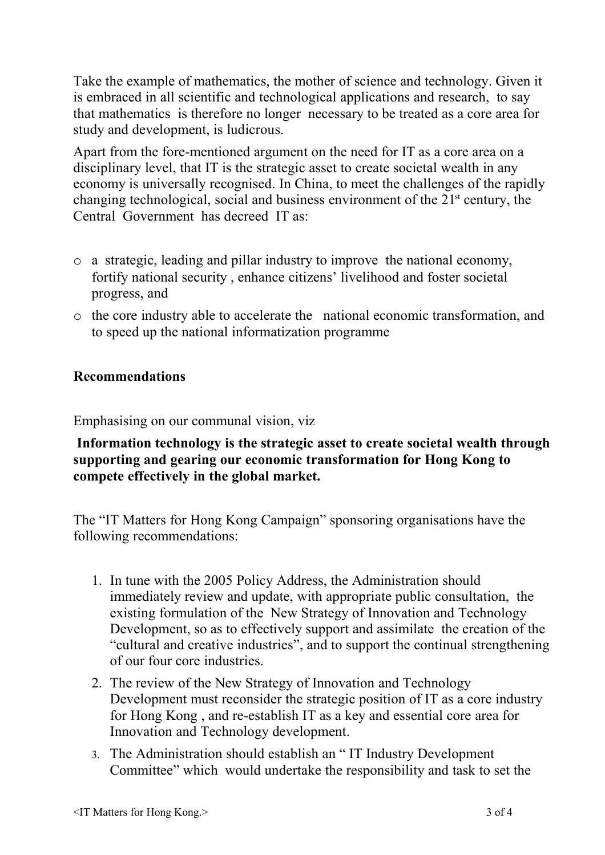Take the example of mathematics, the mother of science and technology. Given it is embraced in all scientific and technological applications and research, to say that mathematics is therefore no longer necessary to be treated as a core area for study and development, is ludicrous.

Apart from the fore-mentioned argument on the need for IT as a core area on a disciplinary level, that IT is the strategic asset to create societal wealth in any economy is universally recognised. In China, to meet the challenges of the rapidly changing technological, social and business environment of the 21<sup>st</sup> century, the Central Government has decreed IT as:

- o a strategic, leading and pillar industry to improve the national economy, fortify national security , enhance citizens' livelihood and foster societal progress, and
- o the core industry able to accelerate the national economic transformation, and to speed up the national informatization programme

### **Recommendations**

Emphasising on our communal vision, viz

**Information technology is the strategic asset to create societal wealth through supporting and gearing our economic transformation for Hong Kong to compete effectively in the global market.**

The "IT Matters for Hong Kong Campaign" sponsoring organisations have the following recommendations:

- 1. In tune with the 2005 Policy Address, the Administration should immediately review and update, with appropriate public consultation, the existing formulation of the New Strategy of Innovation and Technology Development, so as to effectively support and assimilate the creation of the "cultural and creative industries", and to support the continual strengthening of our four core industries.
- 2. The review of the New Strategy of Innovation and Technology Development must reconsider the strategic position of IT as a core industry for Hong Kong , and re-establish IT as a key and essential core area for Innovation and Technology development.
- 3. The Administration should establish an " IT Industry Development Committee" which would undertake the responsibility and task to set the